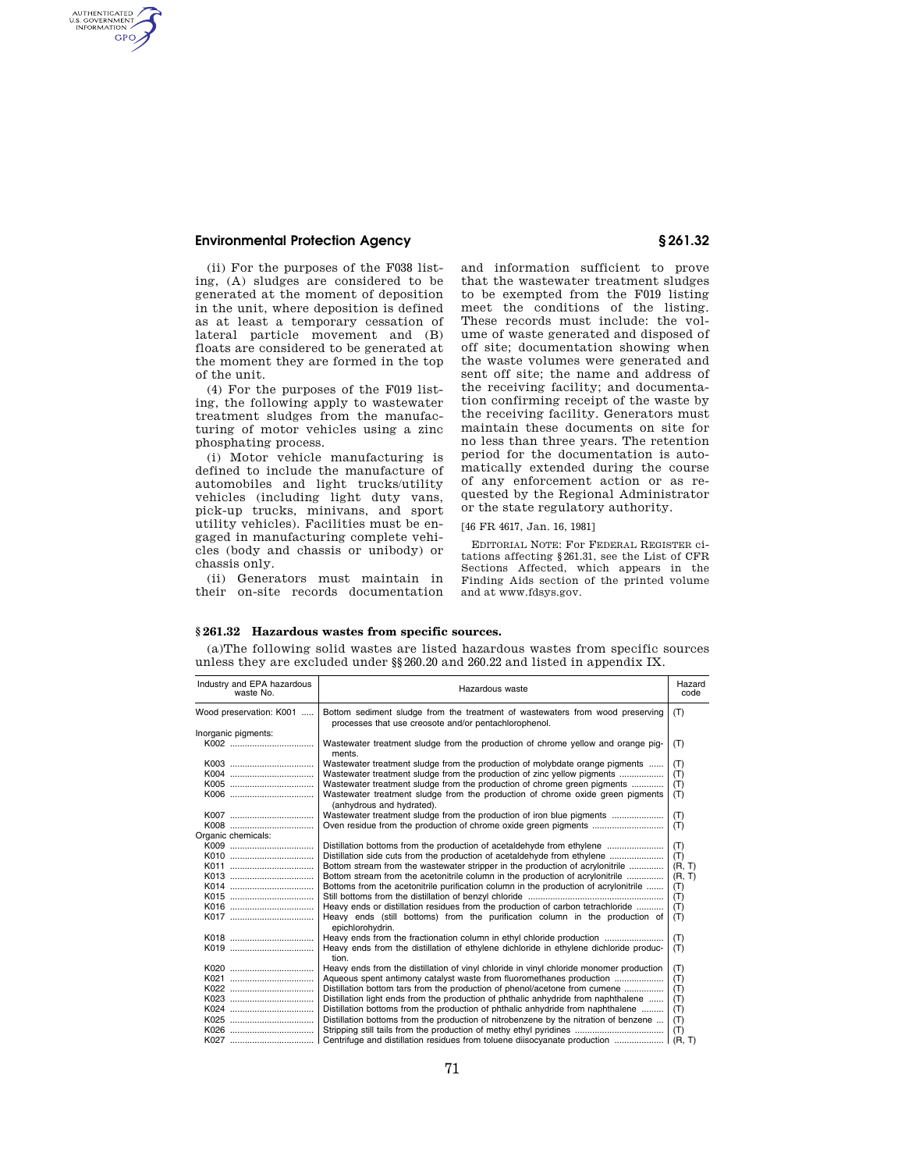AUTHENTICATED<br>U.S. GOVERNMENT<br>INFORMATION **GPO** 

> (ii) For the purposes of the F038 listing, (A) sludges are considered to be generated at the moment of deposition in the unit, where deposition is defined as at least a temporary cessation of lateral particle movement and (B) floats are considered to be generated at the moment they are formed in the top of the unit.

> (4) For the purposes of the F019 listing, the following apply to wastewater treatment sludges from the manufacturing of motor vehicles using a zinc phosphating process.

> (i) Motor vehicle manufacturing is defined to include the manufacture of automobiles and light trucks/utility vehicles (including light duty vans, pick-up trucks, minivans, and sport utility vehicles). Facilities must be engaged in manufacturing complete vehicles (body and chassis or unibody) or chassis only.

> (ii) Generators must maintain in their on-site records documentation

and information sufficient to prove that the wastewater treatment sludges to be exempted from the F019 listing meet the conditions of the listing. These records must include: the volume of waste generated and disposed of off site; documentation showing when the waste volumes were generated and sent off site; the name and address of the receiving facility; and documentation confirming receipt of the waste by the receiving facility. Generators must maintain these documents on site for no less than three years. The retention period for the documentation is automatically extended during the course of any enforcement action or as requested by the Regional Administrator or the state regulatory authority.

[46 FR 4617, Jan. 16, 1981]

EDITORIAL NOTE: For FEDERAL REGISTER citations affecting §261.31, see the List of CFR Sections Affected, which appears in the Finding Aids section of the printed volume and at www.fdsys.gov.

## **§ 261.32 Hazardous wastes from specific sources.**

(a)The following solid wastes are listed hazardous wastes from specific sources unless they are excluded under §§260.20 and 260.22 and listed in appendix IX.

| Industry and EPA hazardous<br>waste No.                                                                                                                           | Hazardous waste                                                                                             |        |
|-------------------------------------------------------------------------------------------------------------------------------------------------------------------|-------------------------------------------------------------------------------------------------------------|--------|
| Wood preservation: K001<br>Bottom sediment sludge from the treatment of wastewaters from wood preserving<br>processes that use creosote and/or pentachlorophenol. |                                                                                                             | (T)    |
| Inorganic pigments:                                                                                                                                               |                                                                                                             |        |
|                                                                                                                                                                   | Wastewater treatment sludge from the production of chrome yellow and orange pig-<br>ments.                  | (T)    |
|                                                                                                                                                                   | Wastewater treatment sludge from the production of molybdate orange pigments                                | (T)    |
|                                                                                                                                                                   | Wastewater treatment sludge from the production of zinc yellow pigments                                     | (T)    |
|                                                                                                                                                                   | Wastewater treatment sludge from the production of chrome green pigments                                    | (T)    |
|                                                                                                                                                                   | Wastewater treatment sludge from the production of chrome oxide green pigments<br>(anhydrous and hydrated). | (T)    |
|                                                                                                                                                                   | Wastewater treatment sludge from the production of iron blue pigments                                       | (T)    |
|                                                                                                                                                                   |                                                                                                             | (T)    |
| Organic chemicals:                                                                                                                                                |                                                                                                             |        |
|                                                                                                                                                                   | Distillation bottoms from the production of acetaldehyde from ethylene                                      | (T)    |
|                                                                                                                                                                   | Distillation side cuts from the production of acetaldehyde from ethylene                                    | (T)    |
|                                                                                                                                                                   | Bottom stream from the wastewater stripper in the production of acrylonitrile                               | (R, T) |
|                                                                                                                                                                   | Bottom stream from the acetonitrile column in the production of acrylonitrile                               | (R, T) |
| K014                                                                                                                                                              | Bottoms from the acetonitrile purification column in the production of acrylonitrile                        | (T)    |
|                                                                                                                                                                   |                                                                                                             | (T)    |
|                                                                                                                                                                   | Heavy ends or distillation residues from the production of carbon tetrachloride                             | (T)    |
| K017                                                                                                                                                              | Heavy ends (still bottoms) from the purification column in the production of<br>epichlorohydrin.            | (T)    |
|                                                                                                                                                                   | Heavy ends from the fractionation column in ethyl chloride production                                       | (T)    |
|                                                                                                                                                                   | Heavy ends from the distillation of ethylene dichloride in ethylene dichloride produc-<br>tion.             | (T)    |
|                                                                                                                                                                   | Heavy ends from the distillation of vinyl chloride in vinyl chloride monomer production                     | (T)    |
| K021                                                                                                                                                              |                                                                                                             | (T)    |
|                                                                                                                                                                   | Distillation bottom tars from the production of phenol/acetone from cumene                                  | (T)    |
| K023                                                                                                                                                              | Distillation light ends from the production of phthalic anhydride from naphthalene                          | (T)    |
|                                                                                                                                                                   | Distillation bottoms from the production of phthalic anhydride from naphthalene                             | (T)    |
|                                                                                                                                                                   | Distillation bottoms from the production of nitrobenzene by the nitration of benzene                        | (T)    |
|                                                                                                                                                                   |                                                                                                             | (T)    |
| K027                                                                                                                                                              | Centrifuge and distillation residues from toluene diisocvanate production                                   | (R, T) |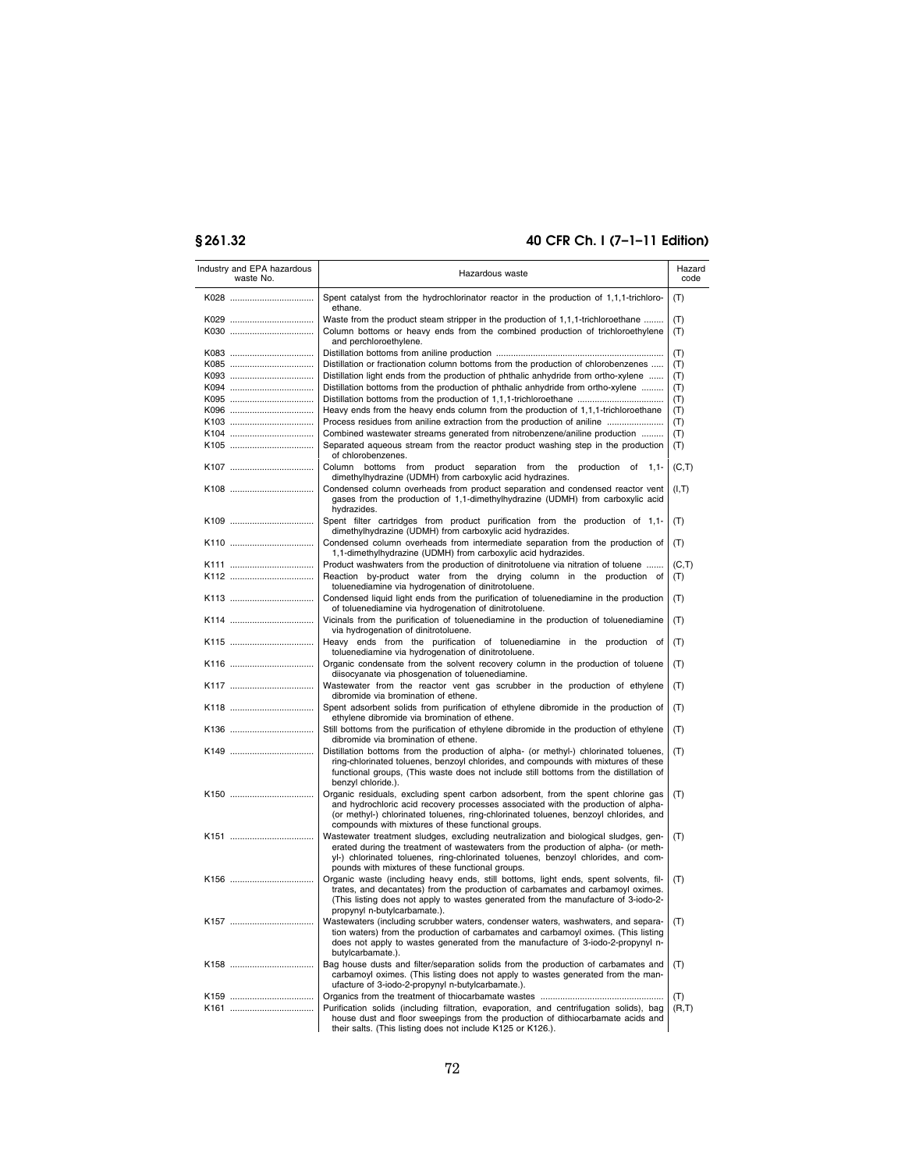## **§ 261.32 40 CFR Ch. I (7–1–11 Edition)**

| Industry and EPA hazardous<br>waste No. | Hazardous waste                                                                                                                                                                                                                                                                                                      | Hazard<br>code |
|-----------------------------------------|----------------------------------------------------------------------------------------------------------------------------------------------------------------------------------------------------------------------------------------------------------------------------------------------------------------------|----------------|
|                                         | Spent catalyst from the hydrochlorinator reactor in the production of 1,1,1-trichloro-<br>ethane.                                                                                                                                                                                                                    | (T)            |
| K029                                    | Waste from the product steam stripper in the production of 1,1,1-trichloroethane                                                                                                                                                                                                                                     | (T)            |
|                                         | Column bottoms or heavy ends from the combined production of trichloroethylene<br>and perchloroethylene.                                                                                                                                                                                                             | (T)            |
|                                         |                                                                                                                                                                                                                                                                                                                      | (T)            |
| K085                                    | Distillation or fractionation column bottoms from the production of chlorobenzenes                                                                                                                                                                                                                                   | (T)            |
| K093                                    | Distillation light ends from the production of phthalic anhydride from ortho-xylene                                                                                                                                                                                                                                  | (T)            |
| K094                                    | Distillation bottoms from the production of phthalic anhydride from ortho-xylene                                                                                                                                                                                                                                     | (T)            |
| K095                                    | Distillation bottoms from the production of 1,1,1-trichloroethane                                                                                                                                                                                                                                                    | (T)            |
| K096                                    | Heavy ends from the heavy ends column from the production of 1,1,1-trichloroethane                                                                                                                                                                                                                                   | (T)            |
|                                         | Process residues from aniline extraction from the production of aniline                                                                                                                                                                                                                                              | (T)            |
| K104                                    | Combined wastewater streams generated from nitrobenzene/aniline production                                                                                                                                                                                                                                           | (T)            |
| K105                                    | Separated aqueous stream from the reactor product washing step in the production<br>of chlorobenzenes.                                                                                                                                                                                                               | (T)            |
|                                         | Column bottoms from product separation from the production of 1,1-<br>dimethylhydrazine (UDMH) from carboxylic acid hydrazines.                                                                                                                                                                                      | (C,T)          |
| K108                                    | Condensed column overheads from product separation and condensed reactor vent<br>gases from the production of 1,1-dimethylhydrazine (UDMH) from carboxylic acid<br>hydrazides.                                                                                                                                       | (I,T)          |
| K109                                    | Spent filter cartridges from product purification from the production of 1,1-<br>dimethylhydrazine (UDMH) from carboxylic acid hydrazides.                                                                                                                                                                           | (T)            |
|                                         | Condensed column overheads from intermediate separation from the production of<br>1,1-dimethylhydrazine (UDMH) from carboxylic acid hydrazides.                                                                                                                                                                      | (T)            |
|                                         | Product washwaters from the production of dinitrotoluene via nitration of toluene                                                                                                                                                                                                                                    | (C,T)          |
|                                         | Reaction by-product water from the drying column in the production of<br>toluenediamine via hydrogenation of dinitrotoluene.                                                                                                                                                                                         | (T)            |
|                                         | Condensed liquid light ends from the purification of toluenediamine in the production<br>of toluenediamine via hydrogenation of dinitrotoluene.                                                                                                                                                                      | (T)            |
|                                         | Vicinals from the purification of toluenediamine in the production of toluenediamine<br>via hydrogenation of dinitrotoluene.                                                                                                                                                                                         | (T)            |
|                                         | Heavy ends from the purification of toluenediamine in the production of<br>toluenediamine via hydrogenation of dinitrotoluene.                                                                                                                                                                                       | (T)            |
|                                         | Organic condensate from the solvent recovery column in the production of toluene<br>diisocyanate via phosgenation of toluenediamine.                                                                                                                                                                                 | (T)            |
|                                         | Wastewater from the reactor vent gas scrubber in the production of ethylene<br>dibromide via bromination of ethene.                                                                                                                                                                                                  | (T)            |
|                                         | Spent adsorbent solids from purification of ethylene dibromide in the production of<br>ethylene dibromide via bromination of ethene.                                                                                                                                                                                 | (T)            |
| K136                                    | Still bottoms from the purification of ethylene dibromide in the production of ethylene<br>dibromide via bromination of ethene.                                                                                                                                                                                      | (T)            |
|                                         | Distillation bottoms from the production of alpha- (or methyl-) chlorinated toluenes,<br>ring-chlorinated toluenes, benzoyl chlorides, and compounds with mixtures of these<br>functional groups, (This waste does not include still bottoms from the distillation of<br>benzyl chloride.).                          | (T)            |
| K150                                    | Organic residuals, excluding spent carbon adsorbent, from the spent chlorine gas<br>and hydrochloric acid recovery processes associated with the production of alpha-<br>(or methyl-) chlorinated toluenes, ring-chlorinated toluenes, benzoyl chlorides, and<br>compounds with mixtures of these functional groups. | (T)            |
|                                         | Wastewater treatment sludges, excluding neutralization and biological sludges, gen-<br>erated during the treatment of wastewaters from the production of alpha- (or meth-<br>yl-) chlorinated toluenes, ring-chlorinated toluenes, benzoyl chlorides, and com-<br>pounds with mixtures of these functional groups.   | (T)            |
|                                         | Organic waste (including heavy ends, still bottoms, light ends, spent solvents, fil-<br>trates, and decantates) from the production of carbamates and carbamoyl oximes.<br>(This listing does not apply to wastes generated from the manufacture of 3-iodo-2-<br>propynyl n-butylcarbamate.).                        | (T)            |
|                                         | Wastewaters (including scrubber waters, condenser waters, washwaters, and separa-<br>tion waters) from the production of carbamates and carbamoyl oximes. (This listing<br>does not apply to wastes generated from the manufacture of 3-iodo-2-propynyl n-<br>butylcarbamate.).                                      | (T)            |
|                                         | Bag house dusts and filter/separation solids from the production of carbamates and<br>carbamoyl oximes. (This listing does not apply to wastes generated from the man-<br>ufacture of 3-iodo-2-propynyl n-butylcarbamate.).                                                                                          | (T)            |
| K159                                    |                                                                                                                                                                                                                                                                                                                      | (T)            |
|                                         | Purification solids (including filtration, evaporation, and centrifugation solids), bag<br>house dust and floor sweepings from the production of dithiocarbamate acids and<br>their salts. (This listing does not include K125 or K126.).                                                                            | (R,T)          |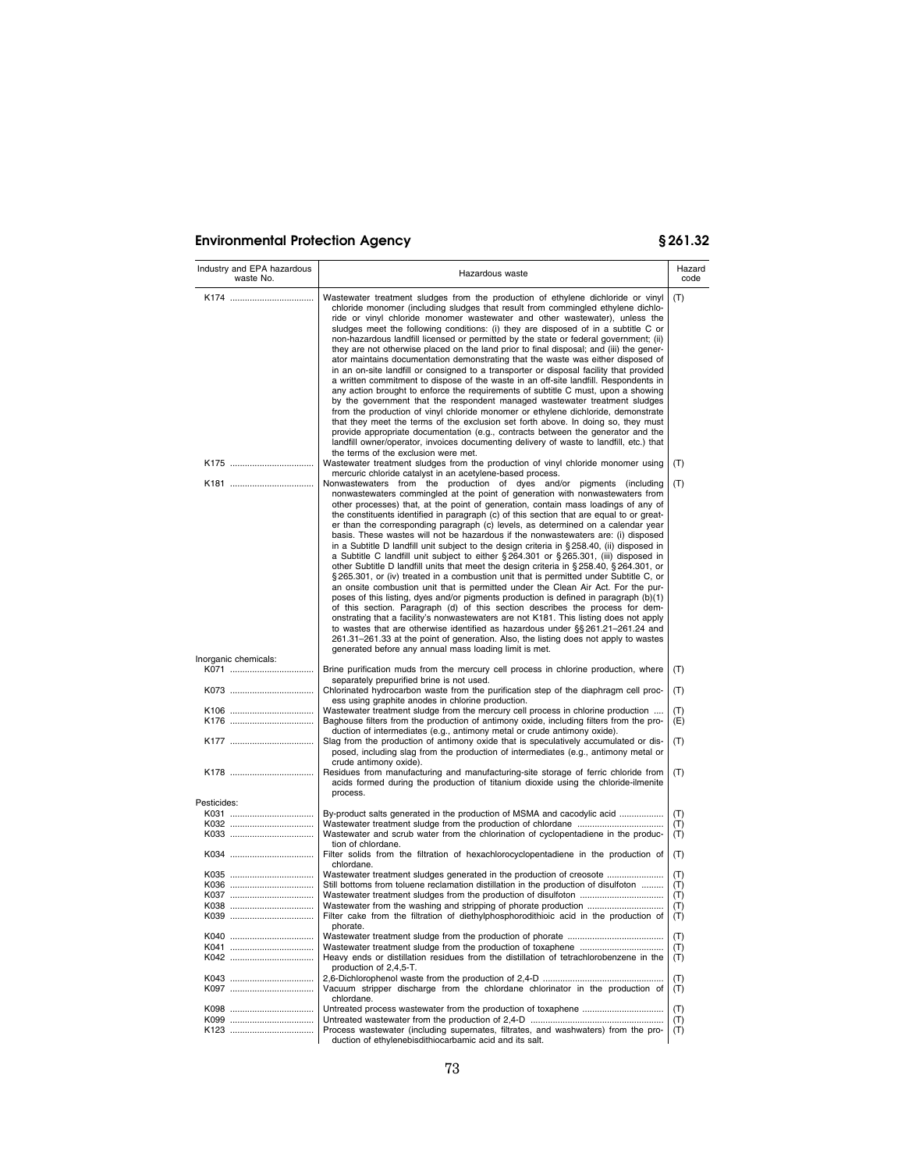| Industry and EPA hazardous<br>waste No. | Hazardous waste                                                                                                                                                                                                                                                                                                                                                                                                                                                                                                                                                                                                                                                                                                                                                                                                                                                                                                                                                                                                                                                                                                                                                                                                                                                                                                                                                                                                                                                                                                                                                                                                                                                                                                                                                                                                                                                                                                                                                                                                                                                                                                                                                                                                                                                                                                                                                                                                                                                                                                                                                                                                                                                                                                                                                                                                                                                                                                                                                     | Hazard<br>code    |
|-----------------------------------------|---------------------------------------------------------------------------------------------------------------------------------------------------------------------------------------------------------------------------------------------------------------------------------------------------------------------------------------------------------------------------------------------------------------------------------------------------------------------------------------------------------------------------------------------------------------------------------------------------------------------------------------------------------------------------------------------------------------------------------------------------------------------------------------------------------------------------------------------------------------------------------------------------------------------------------------------------------------------------------------------------------------------------------------------------------------------------------------------------------------------------------------------------------------------------------------------------------------------------------------------------------------------------------------------------------------------------------------------------------------------------------------------------------------------------------------------------------------------------------------------------------------------------------------------------------------------------------------------------------------------------------------------------------------------------------------------------------------------------------------------------------------------------------------------------------------------------------------------------------------------------------------------------------------------------------------------------------------------------------------------------------------------------------------------------------------------------------------------------------------------------------------------------------------------------------------------------------------------------------------------------------------------------------------------------------------------------------------------------------------------------------------------------------------------------------------------------------------------------------------------------------------------------------------------------------------------------------------------------------------------------------------------------------------------------------------------------------------------------------------------------------------------------------------------------------------------------------------------------------------------------------------------------------------------------------------------------------------------|-------------------|
| K181                                    | Wastewater treatment sludges from the production of ethylene dichloride or vinyl<br>chloride monomer (including sludges that result from commingled ethylene dichlo-<br>ride or vinyl chloride monomer wastewater and other wastewater), unless the<br>sludges meet the following conditions: (i) they are disposed of in a subtitle C or<br>non-hazardous landfill licensed or permitted by the state or federal government; (ii)<br>they are not otherwise placed on the land prior to final disposal; and (iii) the gener-<br>ator maintains documentation demonstrating that the waste was either disposed of<br>in an on-site landfill or consigned to a transporter or disposal facility that provided<br>a written commitment to dispose of the waste in an off-site landfill. Respondents in<br>any action brought to enforce the requirements of subtitle C must, upon a showing<br>by the government that the respondent managed wastewater treatment sludges<br>from the production of vinyl chloride monomer or ethylene dichloride, demonstrate<br>that they meet the terms of the exclusion set forth above. In doing so, they must<br>provide appropriate documentation (e.g., contracts between the generator and the<br>landfill owner/operator, invoices documenting delivery of waste to landfill, etc.) that<br>the terms of the exclusion were met.<br>Wastewater treatment sludges from the production of vinyl chloride monomer using<br>mercuric chloride catalyst in an acetylene-based process.<br>Nonwastewaters from the production of dyes and/or pigments<br>(including)<br>nonwastewaters commingled at the point of generation with nonwastewaters from<br>other processes) that, at the point of generation, contain mass loadings of any of<br>the constituents identified in paragraph (c) of this section that are equal to or great-<br>er than the corresponding paragraph (c) levels, as determined on a calendar year<br>basis. These wastes will not be hazardous if the nonwastewaters are: (i) disposed<br>in a Subtitle D landfill unit subject to the design criteria in §258.40, (ii) disposed in<br>a Subtitle C landfill unit subject to either § 264.301 or § 265.301, (iii) disposed in<br>other Subtitle D landfill units that meet the design criteria in §258.40, §264.301, or<br>§265.301, or (iv) treated in a combustion unit that is permitted under Subtitle C, or<br>an onsite combustion unit that is permitted under the Clean Air Act. For the pur-<br>poses of this listing, dyes and/or pigments production is defined in paragraph (b)(1)<br>of this section. Paragraph (d) of this section describes the process for dem-<br>onstrating that a facility's nonwastewaters are not K181. This listing does not apply<br>to wastes that are otherwise identified as hazardous under $\S$ § 261.21–261.24 and<br>261.31–261.33 at the point of generation. Also, the listing does not apply to wastes | (T)<br>(T)<br>(T) |
| Inorganic chemicals:                    | generated before any annual mass loading limit is met.                                                                                                                                                                                                                                                                                                                                                                                                                                                                                                                                                                                                                                                                                                                                                                                                                                                                                                                                                                                                                                                                                                                                                                                                                                                                                                                                                                                                                                                                                                                                                                                                                                                                                                                                                                                                                                                                                                                                                                                                                                                                                                                                                                                                                                                                                                                                                                                                                                                                                                                                                                                                                                                                                                                                                                                                                                                                                                              |                   |
| K071                                    | Brine purification muds from the mercury cell process in chlorine production, where<br>separately prepurified brine is not used.<br>Chlorinated hydrocarbon waste from the purification step of the diaphragm cell proc-                                                                                                                                                                                                                                                                                                                                                                                                                                                                                                                                                                                                                                                                                                                                                                                                                                                                                                                                                                                                                                                                                                                                                                                                                                                                                                                                                                                                                                                                                                                                                                                                                                                                                                                                                                                                                                                                                                                                                                                                                                                                                                                                                                                                                                                                                                                                                                                                                                                                                                                                                                                                                                                                                                                                            | (T)<br>(T)        |
|                                         | ess using graphite anodes in chlorine production.<br>Wastewater treatment sludge from the mercury cell process in chlorine production                                                                                                                                                                                                                                                                                                                                                                                                                                                                                                                                                                                                                                                                                                                                                                                                                                                                                                                                                                                                                                                                                                                                                                                                                                                                                                                                                                                                                                                                                                                                                                                                                                                                                                                                                                                                                                                                                                                                                                                                                                                                                                                                                                                                                                                                                                                                                                                                                                                                                                                                                                                                                                                                                                                                                                                                                               | (T)               |
|                                         | Baghouse filters from the production of antimony oxide, including filters from the pro-<br>duction of intermediates (e.g., antimony metal or crude antimony oxide).                                                                                                                                                                                                                                                                                                                                                                                                                                                                                                                                                                                                                                                                                                                                                                                                                                                                                                                                                                                                                                                                                                                                                                                                                                                                                                                                                                                                                                                                                                                                                                                                                                                                                                                                                                                                                                                                                                                                                                                                                                                                                                                                                                                                                                                                                                                                                                                                                                                                                                                                                                                                                                                                                                                                                                                                 | (E)               |
|                                         | Slag from the production of antimony oxide that is speculatively accumulated or dis-<br>posed, including slag from the production of intermediates (e.g., antimony metal or<br>crude antimony oxide).                                                                                                                                                                                                                                                                                                                                                                                                                                                                                                                                                                                                                                                                                                                                                                                                                                                                                                                                                                                                                                                                                                                                                                                                                                                                                                                                                                                                                                                                                                                                                                                                                                                                                                                                                                                                                                                                                                                                                                                                                                                                                                                                                                                                                                                                                                                                                                                                                                                                                                                                                                                                                                                                                                                                                               | (T)               |
|                                         | Residues from manufacturing and manufacturing-site storage of ferric chloride from<br>acids formed during the production of titanium dioxide using the chloride-ilmenite<br>process.                                                                                                                                                                                                                                                                                                                                                                                                                                                                                                                                                                                                                                                                                                                                                                                                                                                                                                                                                                                                                                                                                                                                                                                                                                                                                                                                                                                                                                                                                                                                                                                                                                                                                                                                                                                                                                                                                                                                                                                                                                                                                                                                                                                                                                                                                                                                                                                                                                                                                                                                                                                                                                                                                                                                                                                | (T)               |
| Pesticides:                             |                                                                                                                                                                                                                                                                                                                                                                                                                                                                                                                                                                                                                                                                                                                                                                                                                                                                                                                                                                                                                                                                                                                                                                                                                                                                                                                                                                                                                                                                                                                                                                                                                                                                                                                                                                                                                                                                                                                                                                                                                                                                                                                                                                                                                                                                                                                                                                                                                                                                                                                                                                                                                                                                                                                                                                                                                                                                                                                                                                     |                   |
|                                         | By-product salts generated in the production of MSMA and cacodylic acid                                                                                                                                                                                                                                                                                                                                                                                                                                                                                                                                                                                                                                                                                                                                                                                                                                                                                                                                                                                                                                                                                                                                                                                                                                                                                                                                                                                                                                                                                                                                                                                                                                                                                                                                                                                                                                                                                                                                                                                                                                                                                                                                                                                                                                                                                                                                                                                                                                                                                                                                                                                                                                                                                                                                                                                                                                                                                             | (T)               |
|                                         | Wastewater and scrub water from the chlorination of cyclopentadiene in the produc-<br>tion of chlordane.                                                                                                                                                                                                                                                                                                                                                                                                                                                                                                                                                                                                                                                                                                                                                                                                                                                                                                                                                                                                                                                                                                                                                                                                                                                                                                                                                                                                                                                                                                                                                                                                                                                                                                                                                                                                                                                                                                                                                                                                                                                                                                                                                                                                                                                                                                                                                                                                                                                                                                                                                                                                                                                                                                                                                                                                                                                            | (T)<br>(T)        |
|                                         | Filter solids from the filtration of hexachlorocyclopentadiene in the production of<br>chlordane.                                                                                                                                                                                                                                                                                                                                                                                                                                                                                                                                                                                                                                                                                                                                                                                                                                                                                                                                                                                                                                                                                                                                                                                                                                                                                                                                                                                                                                                                                                                                                                                                                                                                                                                                                                                                                                                                                                                                                                                                                                                                                                                                                                                                                                                                                                                                                                                                                                                                                                                                                                                                                                                                                                                                                                                                                                                                   | (T)               |
|                                         | Wastewater treatment sludges generated in the production of creosote                                                                                                                                                                                                                                                                                                                                                                                                                                                                                                                                                                                                                                                                                                                                                                                                                                                                                                                                                                                                                                                                                                                                                                                                                                                                                                                                                                                                                                                                                                                                                                                                                                                                                                                                                                                                                                                                                                                                                                                                                                                                                                                                                                                                                                                                                                                                                                                                                                                                                                                                                                                                                                                                                                                                                                                                                                                                                                | (T)               |
|                                         | Still bottoms from toluene reclamation distillation in the production of disulfoton                                                                                                                                                                                                                                                                                                                                                                                                                                                                                                                                                                                                                                                                                                                                                                                                                                                                                                                                                                                                                                                                                                                                                                                                                                                                                                                                                                                                                                                                                                                                                                                                                                                                                                                                                                                                                                                                                                                                                                                                                                                                                                                                                                                                                                                                                                                                                                                                                                                                                                                                                                                                                                                                                                                                                                                                                                                                                 | (T)               |
| K037                                    |                                                                                                                                                                                                                                                                                                                                                                                                                                                                                                                                                                                                                                                                                                                                                                                                                                                                                                                                                                                                                                                                                                                                                                                                                                                                                                                                                                                                                                                                                                                                                                                                                                                                                                                                                                                                                                                                                                                                                                                                                                                                                                                                                                                                                                                                                                                                                                                                                                                                                                                                                                                                                                                                                                                                                                                                                                                                                                                                                                     | (T)               |
| K038                                    |                                                                                                                                                                                                                                                                                                                                                                                                                                                                                                                                                                                                                                                                                                                                                                                                                                                                                                                                                                                                                                                                                                                                                                                                                                                                                                                                                                                                                                                                                                                                                                                                                                                                                                                                                                                                                                                                                                                                                                                                                                                                                                                                                                                                                                                                                                                                                                                                                                                                                                                                                                                                                                                                                                                                                                                                                                                                                                                                                                     | (T)               |
|                                         | Filter cake from the filtration of diethylphosphorodithioic acid in the production of<br>phorate.                                                                                                                                                                                                                                                                                                                                                                                                                                                                                                                                                                                                                                                                                                                                                                                                                                                                                                                                                                                                                                                                                                                                                                                                                                                                                                                                                                                                                                                                                                                                                                                                                                                                                                                                                                                                                                                                                                                                                                                                                                                                                                                                                                                                                                                                                                                                                                                                                                                                                                                                                                                                                                                                                                                                                                                                                                                                   | (T)               |
|                                         |                                                                                                                                                                                                                                                                                                                                                                                                                                                                                                                                                                                                                                                                                                                                                                                                                                                                                                                                                                                                                                                                                                                                                                                                                                                                                                                                                                                                                                                                                                                                                                                                                                                                                                                                                                                                                                                                                                                                                                                                                                                                                                                                                                                                                                                                                                                                                                                                                                                                                                                                                                                                                                                                                                                                                                                                                                                                                                                                                                     | (T)               |
|                                         | Heavy ends or distillation residues from the distillation of tetrachlorobenzene in the                                                                                                                                                                                                                                                                                                                                                                                                                                                                                                                                                                                                                                                                                                                                                                                                                                                                                                                                                                                                                                                                                                                                                                                                                                                                                                                                                                                                                                                                                                                                                                                                                                                                                                                                                                                                                                                                                                                                                                                                                                                                                                                                                                                                                                                                                                                                                                                                                                                                                                                                                                                                                                                                                                                                                                                                                                                                              | (T)<br>(T)        |
|                                         | production of 2,4,5-T.                                                                                                                                                                                                                                                                                                                                                                                                                                                                                                                                                                                                                                                                                                                                                                                                                                                                                                                                                                                                                                                                                                                                                                                                                                                                                                                                                                                                                                                                                                                                                                                                                                                                                                                                                                                                                                                                                                                                                                                                                                                                                                                                                                                                                                                                                                                                                                                                                                                                                                                                                                                                                                                                                                                                                                                                                                                                                                                                              |                   |
|                                         | Vacuum stripper discharge from the chlordane chlorinator in the production of                                                                                                                                                                                                                                                                                                                                                                                                                                                                                                                                                                                                                                                                                                                                                                                                                                                                                                                                                                                                                                                                                                                                                                                                                                                                                                                                                                                                                                                                                                                                                                                                                                                                                                                                                                                                                                                                                                                                                                                                                                                                                                                                                                                                                                                                                                                                                                                                                                                                                                                                                                                                                                                                                                                                                                                                                                                                                       | (T)<br>(T)        |
|                                         | chlordane.                                                                                                                                                                                                                                                                                                                                                                                                                                                                                                                                                                                                                                                                                                                                                                                                                                                                                                                                                                                                                                                                                                                                                                                                                                                                                                                                                                                                                                                                                                                                                                                                                                                                                                                                                                                                                                                                                                                                                                                                                                                                                                                                                                                                                                                                                                                                                                                                                                                                                                                                                                                                                                                                                                                                                                                                                                                                                                                                                          |                   |
|                                         |                                                                                                                                                                                                                                                                                                                                                                                                                                                                                                                                                                                                                                                                                                                                                                                                                                                                                                                                                                                                                                                                                                                                                                                                                                                                                                                                                                                                                                                                                                                                                                                                                                                                                                                                                                                                                                                                                                                                                                                                                                                                                                                                                                                                                                                                                                                                                                                                                                                                                                                                                                                                                                                                                                                                                                                                                                                                                                                                                                     | (T)               |
|                                         | Process wastewater (including supernates, filtrates, and washwaters) from the pro-<br>duction of ethylenebisdithiocarbamic acid and its salt.                                                                                                                                                                                                                                                                                                                                                                                                                                                                                                                                                                                                                                                                                                                                                                                                                                                                                                                                                                                                                                                                                                                                                                                                                                                                                                                                                                                                                                                                                                                                                                                                                                                                                                                                                                                                                                                                                                                                                                                                                                                                                                                                                                                                                                                                                                                                                                                                                                                                                                                                                                                                                                                                                                                                                                                                                       | (T)<br>(T)        |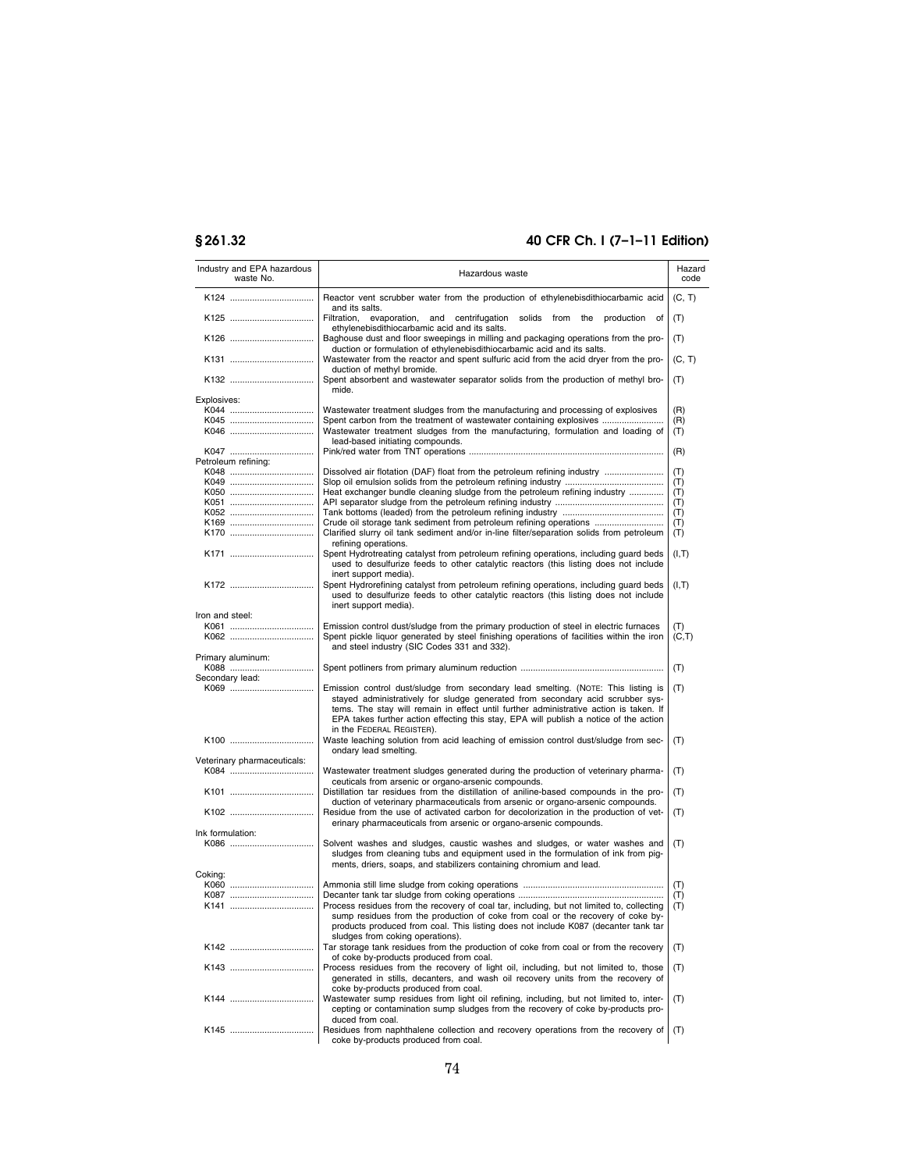## **§ 261.32 40 CFR Ch. I (7–1–11 Edition)**

| Industry and EPA hazardous<br>waste No. | Hazardous waste                                                                                                                                                                                                                                                                                                                                       | Hazard<br>code |  |
|-----------------------------------------|-------------------------------------------------------------------------------------------------------------------------------------------------------------------------------------------------------------------------------------------------------------------------------------------------------------------------------------------------------|----------------|--|
| K124                                    | Reactor vent scrubber water from the production of ethylenebisdithiocarbamic acid                                                                                                                                                                                                                                                                     | (C, T)         |  |
|                                         | and its salts.<br>Filtration, evaporation, and centrifugation solids from the production of                                                                                                                                                                                                                                                           | (T)            |  |
| K126                                    | ethylenebisdithiocarbamic acid and its salts.<br>Baghouse dust and floor sweepings in milling and packaging operations from the pro-<br>duction or formulation of ethylenebisdithiocarbamic acid and its salts.                                                                                                                                       |                |  |
|                                         | Wastewater from the reactor and spent sulfuric acid from the acid dryer from the pro-<br>duction of methyl bromide.                                                                                                                                                                                                                                   | (C, T)         |  |
|                                         | Spent absorbent and wastewater separator solids from the production of methyl bro-<br>mide.                                                                                                                                                                                                                                                           |                |  |
| Explosives:                             |                                                                                                                                                                                                                                                                                                                                                       |                |  |
|                                         | Wastewater treatment sludges from the manufacturing and processing of explosives                                                                                                                                                                                                                                                                      | (R)            |  |
| K046                                    | Spent carbon from the treatment of wastewater containing explosives<br>Wastewater treatment sludges from the manufacturing, formulation and loading of<br>lead-based initiating compounds.                                                                                                                                                            | (R)<br>(T)     |  |
|                                         |                                                                                                                                                                                                                                                                                                                                                       | (R)            |  |
| Petroleum refining:                     |                                                                                                                                                                                                                                                                                                                                                       |                |  |
| K048                                    | Dissolved air flotation (DAF) float from the petroleum refining industry                                                                                                                                                                                                                                                                              | (T)            |  |
| K049                                    |                                                                                                                                                                                                                                                                                                                                                       | (T)            |  |
|                                         | Heat exchanger bundle cleaning sludge from the petroleum refining industry                                                                                                                                                                                                                                                                            | (T)            |  |
| K051                                    |                                                                                                                                                                                                                                                                                                                                                       | (T)            |  |
| K052                                    | Crude oil storage tank sediment from petroleum refining operations                                                                                                                                                                                                                                                                                    | (T)            |  |
|                                         | Clarified slurry oil tank sediment and/or in-line filter/separation solids from petroleum<br>refining operations.                                                                                                                                                                                                                                     | (T)<br>(T)     |  |
|                                         | Spent Hydrotreating catalyst from petroleum refining operations, including quard beds<br>used to desulfurize feeds to other catalytic reactors (this listing does not include<br>inert support media).                                                                                                                                                | (I, T)         |  |
|                                         | Spent Hydrorefining catalyst from petroleum refining operations, including quard beds<br>used to desulfurize feeds to other catalytic reactors (this listing does not include<br>inert support media).                                                                                                                                                | (I, T)         |  |
| Iron and steel:                         |                                                                                                                                                                                                                                                                                                                                                       |                |  |
| K061<br>K062                            | Emission control dust/sludge from the primary production of steel in electric furnaces<br>Spent pickle liquor generated by steel finishing operations of facilities within the iron<br>and steel industry (SIC Codes 331 and 332).                                                                                                                    | (T)<br>(C,T)   |  |
| Primary aluminum:                       |                                                                                                                                                                                                                                                                                                                                                       |                |  |
|                                         |                                                                                                                                                                                                                                                                                                                                                       | (T)            |  |
| Secondary lead:<br>K069                 | Emission control dust/sludge from secondary lead smelting. (NOTE: This listing is<br>stayed administratively for sludge generated from secondary acid scrubber sys-<br>tems. The stay will remain in effect until further administrative action is taken. If<br>EPA takes further action effecting this stay, EPA will publish a notice of the action | (T)            |  |
|                                         | in the FEDERAL REGISTER).<br>Waste leaching solution from acid leaching of emission control dust/sludge from sec-<br>(T)<br>ondary lead smelting.                                                                                                                                                                                                     |                |  |
| Veterinary pharmaceuticals:             |                                                                                                                                                                                                                                                                                                                                                       |                |  |
| K084                                    | Wastewater treatment sludges generated during the production of veterinary pharma-<br>ceuticals from arsenic or organo-arsenic compounds.                                                                                                                                                                                                             | (T)            |  |
|                                         | Distillation tar residues from the distillation of aniline-based compounds in the pro-<br>(T)<br>duction of veterinary pharmaceuticals from arsenic or organo-arsenic compounds.                                                                                                                                                                      |                |  |
|                                         | Residue from the use of activated carbon for decolorization in the production of vet-<br>erinary pharmaceuticals from arsenic or organo-arsenic compounds.                                                                                                                                                                                            | (T)            |  |
| Ink formulation:                        |                                                                                                                                                                                                                                                                                                                                                       |                |  |
| K086                                    | Solvent washes and sludges, caustic washes and sludges, or water washes and                                                                                                                                                                                                                                                                           | (T)            |  |
|                                         | sludges from cleaning tubs and equipment used in the formulation of ink from pig-                                                                                                                                                                                                                                                                     |                |  |
|                                         | ments, driers, soaps, and stabilizers containing chromium and lead.                                                                                                                                                                                                                                                                                   |                |  |
| Coking:                                 |                                                                                                                                                                                                                                                                                                                                                       |                |  |
|                                         |                                                                                                                                                                                                                                                                                                                                                       | (T)            |  |
| K087                                    |                                                                                                                                                                                                                                                                                                                                                       | (T)            |  |
|                                         | Process residues from the recovery of coal tar, including, but not limited to, collecting<br>sump residues from the production of coke from coal or the recovery of coke by-                                                                                                                                                                          | (T)            |  |
|                                         | products produced from coal. This listing does not include K087 (decanter tank tar<br>sludges from coking operations).                                                                                                                                                                                                                                |                |  |
|                                         | Tar storage tank residues from the production of coke from coal or from the recovery                                                                                                                                                                                                                                                                  | (T)            |  |
|                                         | of coke by-products produced from coal.                                                                                                                                                                                                                                                                                                               |                |  |
|                                         | Process residues from the recovery of light oil, including, but not limited to, those<br>(T)<br>generated in stills, decanters, and wash oil recovery units from the recovery of                                                                                                                                                                      |                |  |
|                                         | coke by-products produced from coal.                                                                                                                                                                                                                                                                                                                  |                |  |
|                                         | Wastewater sump residues from light oil refining, including, but not limited to, inter-<br>cepting or contamination sump sludges from the recovery of coke by-products pro-<br>duced from coal.                                                                                                                                                       | (T)            |  |
|                                         | Residues from naphthalene collection and recovery operations from the recovery of<br>coke by-products produced from coal.                                                                                                                                                                                                                             | (T)            |  |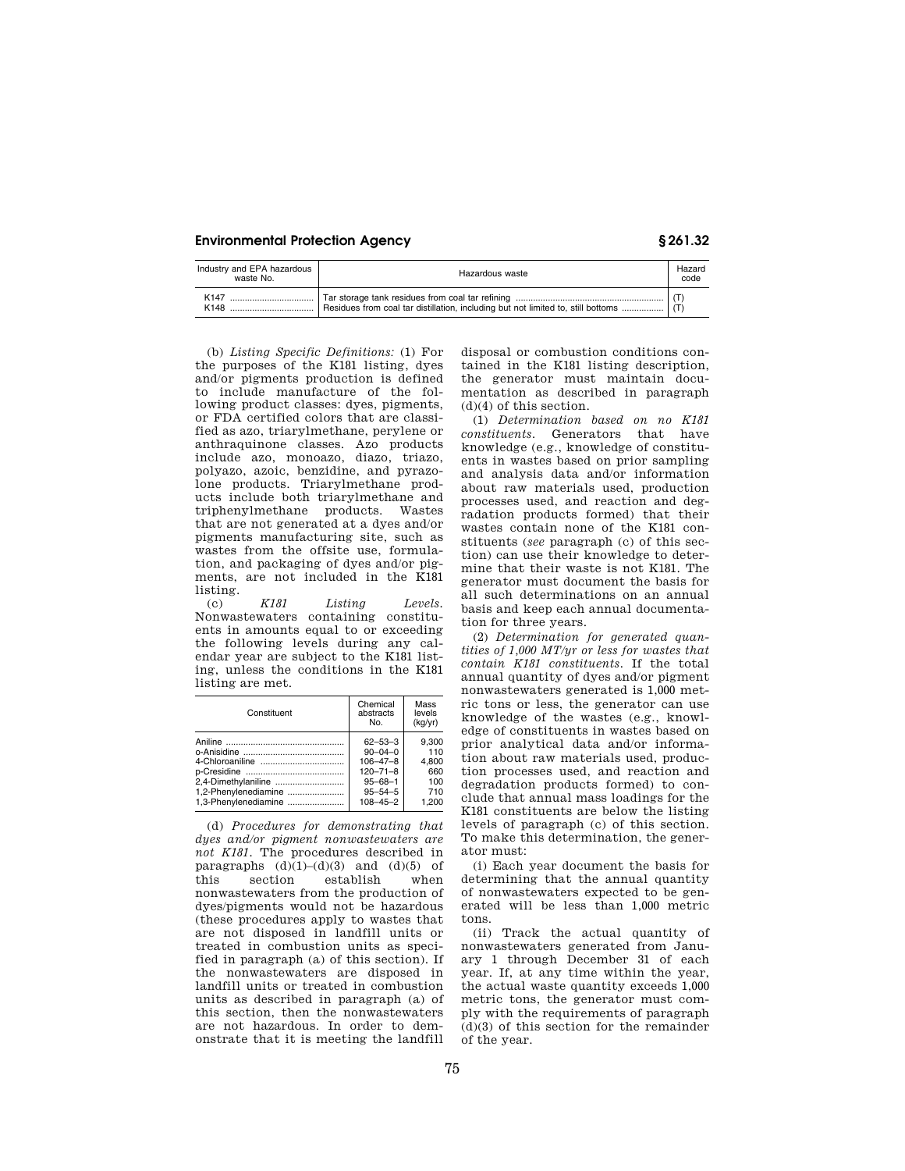| Industry and EPA hazardous<br>waste No. | Hazardous waste                                                                         | Hazard<br>code |
|-----------------------------------------|-----------------------------------------------------------------------------------------|----------------|
| K147<br>K <sub>148</sub>                | Residues from coal tar distillation, including but not limited to, still bottoms    (T) |                |

(b) *Listing Specific Definitions:* (1) For the purposes of the K181 listing, dyes and/or pigments production is defined to include manufacture of the following product classes: dyes, pigments, or FDA certified colors that are classified as azo, triarylmethane, perylene or anthraquinone classes. Azo products include azo, monoazo, diazo, triazo, polyazo, azoic, benzidine, and pyrazolone products. Triarylmethane products include both triarylmethane and triphenylmethane products. Wastes that are not generated at a dyes and/or pigments manufacturing site, such as wastes from the offsite use, formulation, and packaging of dyes and/or pigments, are not included in the K181 listing.

(c) *K181 Listing Levels.*  Nonwastewaters containing constituents in amounts equal to or exceeding the following levels during any calendar year are subject to the K181 listing, unless the conditions in the K181 listing are met.

| Constituent          | Chemical<br>abstracts<br>No. | Mass<br>levels<br>(kg/yr) |
|----------------------|------------------------------|---------------------------|
|                      | $62 - 53 - 3$                | 9.300                     |
|                      | $90 - 04 - 0$                | 110                       |
|                      | $106 - 47 - 8$               | 4.800                     |
|                      | $120 - 71 - 8$               | 660                       |
| 2,4-Dimethylaniline  | $95 - 68 - 1$                | 100                       |
| 1,2-Phenylenediamine | $95 - 54 - 5$                | 710                       |
| 1,3-Phenylenediamine | $108 - 45 - 2$               | 1.200                     |

(d) *Procedures for demonstrating that dyes and/or pigment nonwastewaters are not K181.* The procedures described in paragraphs  $(d)(1)-(d)(3)$  and  $(d)(5)$  of this section establish when nonwastewaters from the production of dyes/pigments would not be hazardous (these procedures apply to wastes that are not disposed in landfill units or treated in combustion units as specified in paragraph (a) of this section). If the nonwastewaters are disposed in landfill units or treated in combustion units as described in paragraph (a) of this section, then the nonwastewaters are not hazardous. In order to demonstrate that it is meeting the landfill

disposal or combustion conditions contained in the K181 listing description, the generator must maintain documentation as described in paragraph (d)(4) of this section.

(1) *Determination based on no K181 constituents.* Generators that have knowledge (e.g., knowledge of constituents in wastes based on prior sampling and analysis data and/or information about raw materials used, production processes used, and reaction and degradation products formed) that their wastes contain none of the K181 constituents (*see* paragraph (c) of this section) can use their knowledge to determine that their waste is not K181. The generator must document the basis for all such determinations on an annual basis and keep each annual documentation for three years.

(2) *Determination for generated quantities of 1,000 MT/yr or less for wastes that contain K181 constituents.* If the total annual quantity of dyes and/or pigment nonwastewaters generated is 1,000 metric tons or less, the generator can use knowledge of the wastes (e.g., knowledge of constituents in wastes based on prior analytical data and/or information about raw materials used, production processes used, and reaction and degradation products formed) to conclude that annual mass loadings for the K181 constituents are below the listing levels of paragraph (c) of this section. To make this determination, the generator must:

(i) Each year document the basis for determining that the annual quantity of nonwastewaters expected to be generated will be less than 1,000 metric tons.

(ii) Track the actual quantity of nonwastewaters generated from January 1 through December 31 of each year. If, at any time within the year, the actual waste quantity exceeds 1,000 metric tons, the generator must comply with the requirements of paragraph (d)(3) of this section for the remainder of the year.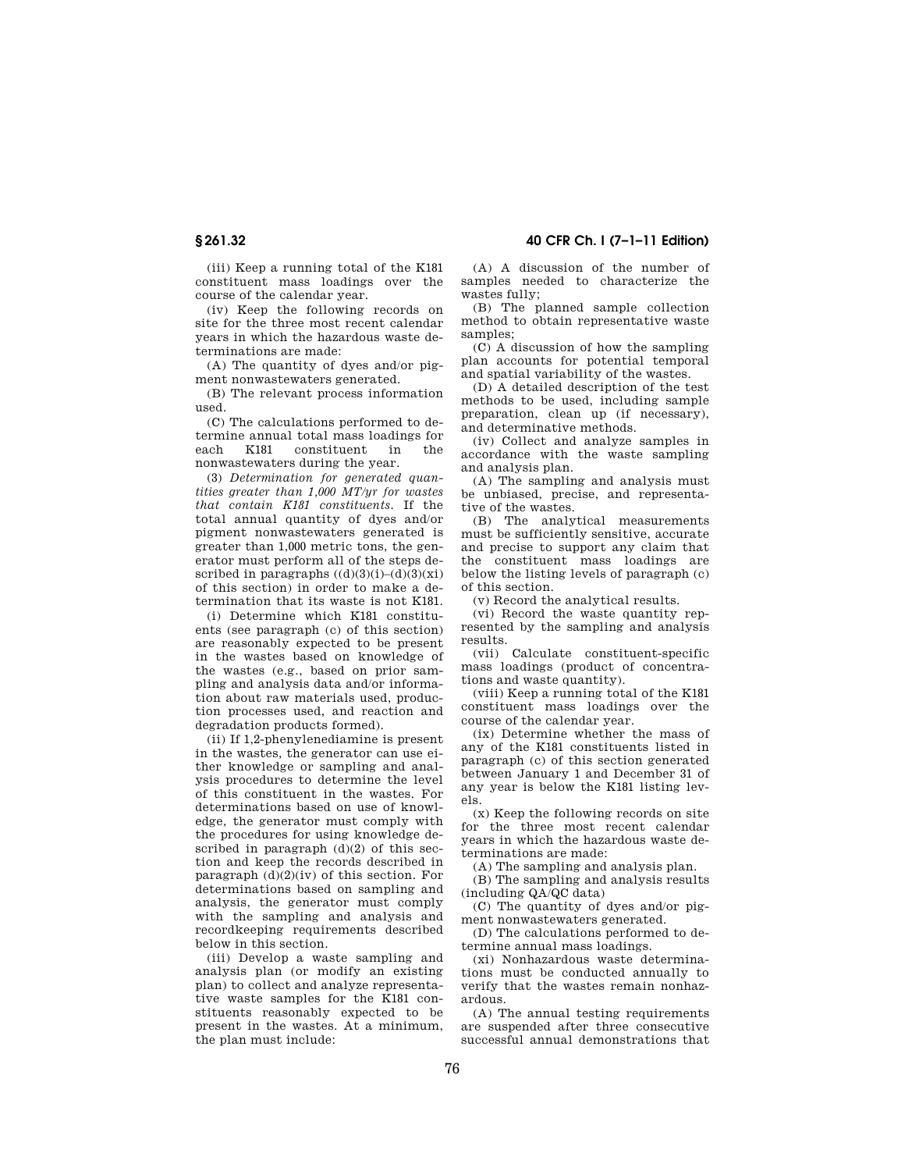(iii) Keep a running total of the K181 constituent mass loadings over the course of the calendar year.

(iv) Keep the following records on site for the three most recent calendar years in which the hazardous waste determinations are made:

(A) The quantity of dyes and/or pigment nonwastewaters generated.

(B) The relevant process information used.

(C) The calculations performed to determine annual total mass loadings for each K181 constituent in the nonwastewaters during the year.

(3) *Determination for generated quantities greater than 1,000 MT/yr for wastes that contain K181 constituents.* If the total annual quantity of dyes and/or pigment nonwastewaters generated is greater than 1,000 metric tons, the generator must perform all of the steps described in paragraphs  $((d)(3)(i)-(d)(3)(xi)$ of this section) in order to make a determination that its waste is not K181.

(i) Determine which K181 constituents (see paragraph (c) of this section) are reasonably expected to be present in the wastes based on knowledge of the wastes (e.g., based on prior sampling and analysis data and/or information about raw materials used, production processes used, and reaction and degradation products formed).

(ii) If 1,2-phenylenediamine is present in the wastes, the generator can use either knowledge or sampling and analysis procedures to determine the level of this constituent in the wastes. For determinations based on use of knowledge, the generator must comply with the procedures for using knowledge described in paragraph (d)(2) of this section and keep the records described in paragraph  $(d)(2)(iv)$  of this section. For determinations based on sampling and analysis, the generator must comply with the sampling and analysis and recordkeeping requirements described below in this section.

(iii) Develop a waste sampling and analysis plan (or modify an existing plan) to collect and analyze representative waste samples for the K181 constituents reasonably expected to be present in the wastes. At a minimum, the plan must include:

**§ 261.32 40 CFR Ch. I (7–1–11 Edition)** 

(A) A discussion of the number of samples needed to characterize the wastes fully;

(B) The planned sample collection method to obtain representative waste samples;

(C) A discussion of how the sampling plan accounts for potential temporal and spatial variability of the wastes.

(D) A detailed description of the test methods to be used, including sample preparation, clean up (if necessary), and determinative methods.

(iv) Collect and analyze samples in accordance with the waste sampling and analysis plan.

(A) The sampling and analysis must be unbiased, precise, and representative of the wastes.

(B) The analytical measurements must be sufficiently sensitive, accurate and precise to support any claim that the constituent mass loadings are below the listing levels of paragraph (c) of this section.

(v) Record the analytical results.

(vi) Record the waste quantity represented by the sampling and analysis results.

(vii) Calculate constituent-specific mass loadings (product of concentrations and waste quantity).

(viii) Keep a running total of the K181 constituent mass loadings over the course of the calendar year.

(ix) Determine whether the mass of any of the K181 constituents listed in paragraph (c) of this section generated between January 1 and December 31 of any year is below the K181 listing levels.

(x) Keep the following records on site for the three most recent calendar years in which the hazardous waste determinations are made:

(A) The sampling and analysis plan.

(B) The sampling and analysis results (including QA/QC data)

(C) The quantity of dyes and/or pigment nonwastewaters generated.

(D) The calculations performed to determine annual mass loadings.

(xi) Nonhazardous waste determinations must be conducted annually to verify that the wastes remain nonhazardous.

(A) The annual testing requirements are suspended after three consecutive successful annual demonstrations that